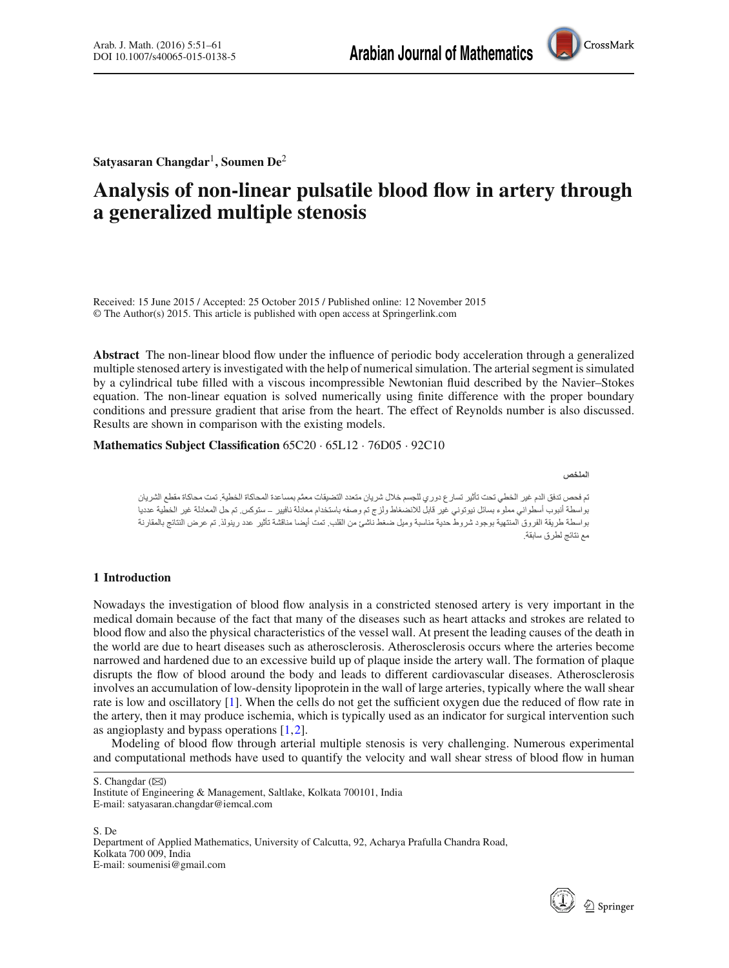

**Satyasaran Changdar**<sup>1</sup> **, Soumen De**<sup>2</sup>

# **Analysis of non-linear pulsatile blood flow in artery through a generalized multiple stenosis**

Received: 15 June 2015 / Accepted: 25 October 2015 / Published online: 12 November 2015 © The Author(s) 2015. This article is published with open access at Springerlink.com

**Abstract** The non-linear blood flow under the influence of periodic body acceleration through a generalized multiple stenosed artery is investigated with the help of numerical simulation. The arterial segment is simulated by a cylindrical tube filled with a viscous incompressible Newtonian fluid described by the Navier–Stokes equation. The non-linear equation is solved numerically using finite difference with the proper boundary conditions and pressure gradient that arise from the heart. The effect of Reynolds number is also discussed. Results are shown in comparison with the existing models.

**Mathematics Subject Classification** 65C20 · 65L12 · 76D05 · 92C10

الملخص

تم فحص تدفق الدم غير الخطي تحت تأثير تسارع دوري للجسم خلال شريان متعدد التضيقات معمًم بمساعدة المحاكاة الخطية. تمت محاكاة مقطع الشريان بواسطة أنبوب أسطواني مملوء بسائل نيوتوني غير قابل للانضغاط ولزج تم وصفه باستخدام معادلة نافيير – ستوكس تم حل المعادلة غير الخطية عدديا بو اسطة طريقة الفر وق المنتهية بوجود شر وط حدية مناسبة وميل ضغط ناشئ من القلب. تمت أيضا مناقشة تأثير عدد رينولذ. تم عر ض النتائج بالمقارنة مع نتائج لطرق سابقة.

# **1 Introduction**

Nowadays the investigation of blood flow analysis in a constricted stenosed artery is very important in the medical domain because of the fact that many of the diseases such as heart attacks and strokes are related to blood flow and also the physical characteristics of the vessel wall. At present the leading causes of the death in the world are due to heart diseases such as atherosclerosis. Atherosclerosis occurs where the arteries become narrowed and hardened due to an excessive build up of plaque inside the artery wall. The formation of plaque disrupts the flow of blood around the body and leads to different cardiovascular diseases. Atherosclerosis involves an accumulation of low-density lipoprotein in the wall of large arteries, typically where the wall shear rate is low and oscillatory [\[1](#page-10-0)]. When the cells do not get the sufficient oxygen due the reduced of flow rate in the artery, then it may produce ischemia, which is typically used as an indicator for surgical intervention such as angioplasty and bypass operations [\[1](#page-10-0),[2\]](#page-10-1).

Modeling of blood flow through arterial multiple stenosis is very challenging. Numerous experimental and computational methods have used to quantify the velocity and wall shear stress of blood flow in human

S. De

Department of Applied Mathematics, University of Calcutta, 92, Acharya Prafulla Chandra Road, Kolkata 700 009, India E-mail: soumenisi@gmail.com



S. Changdar ( $\boxtimes$ )

Institute of Engineering & Management, Saltlake, Kolkata 700101, India E-mail: satyasaran.changdar@iemcal.com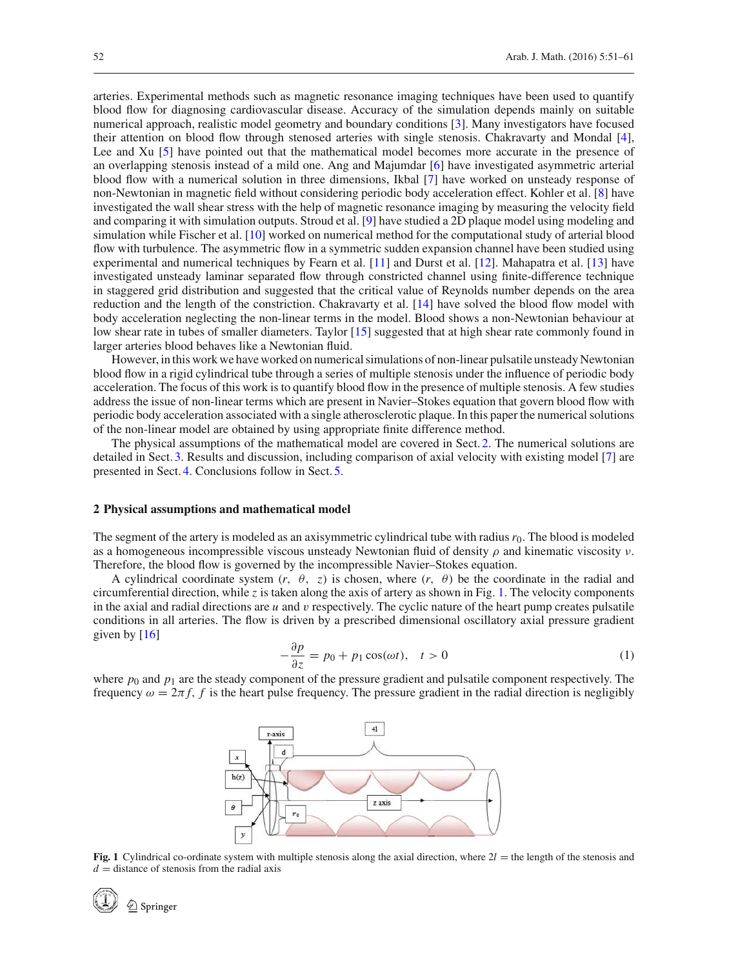arteries. Experimental methods such as magnetic resonance imaging techniques have been used to quantify blood flow for diagnosing cardiovascular disease. Accuracy of the simulation depends mainly on suitable numerical approach, realistic model geometry and boundary conditions [\[3\]](#page-10-2). Many investigators have focused their attention on blood flow through stenosed arteries with single stenosis. Chakravarty and Mondal [\[4\]](#page-10-3), Lee and Xu [\[5](#page-10-4)] have pointed out that the mathematical model becomes more accurate in the presence of an overlapping stenosis instead of a mild one. Ang and Majumdar [\[6\]](#page-10-5) have investigated asymmetric arterial blood flow with a numerical solution in three dimensions, Ikbal [\[7\]](#page-10-6) have worked on unsteady response of non-Newtonian in magnetic field without considering periodic body acceleration effect. Kohler et al. [\[8\]](#page-10-7) have investigated the wall shear stress with the help of magnetic resonance imaging by measuring the velocity field and comparing it with simulation outputs. Stroud et al. [\[9](#page-10-8)] have studied a 2D plaque model using modeling and simulation while Fischer et al. [\[10\]](#page-10-9) worked on numerical method for the computational study of arterial blood flow with turbulence. The asymmetric flow in a symmetric sudden expansion channel have been studied using experimental and numerical techniques by Fearn et al. [\[11](#page-10-10)] and Durst et al. [\[12](#page-10-11)]. Mahapatra et al. [\[13](#page-10-12)] have investigated unsteady laminar separated flow through constricted channel using finite-difference technique in staggered grid distribution and suggested that the critical value of Reynolds number depends on the area reduction and the length of the constriction. Chakravarty et al. [\[14\]](#page-10-13) have solved the blood flow model with body acceleration neglecting the non-linear terms in the model. Blood shows a non-Newtonian behaviour at low shear rate in tubes of smaller diameters. Taylor [\[15](#page-10-14)] suggested that at high shear rate commonly found in larger arteries blood behaves like a Newtonian fluid.

However, in this work we have worked on numerical simulations of non-linear pulsatile unsteady Newtonian blood flow in a rigid cylindrical tube through a series of multiple stenosis under the influence of periodic body acceleration. The focus of this work is to quantify blood flow in the presence of multiple stenosis. A few studies address the issue of non-linear terms which are present in Navier–Stokes equation that govern blood flow with periodic body acceleration associated with a single atherosclerotic plaque. In this paper the numerical solutions of the non-linear model are obtained by using appropriate finite difference method.

The physical assumptions of the mathematical model are covered in Sect. [2.](#page-1-0) The numerical solutions are detailed in Sect. [3.](#page-2-0) Results and discussion, including comparison of axial velocity with existing model [\[7](#page-10-6)] are presented in Sect. [4.](#page-4-0) Conclusions follow in Sect. [5.](#page-9-0)

#### <span id="page-1-0"></span>**2 Physical assumptions and mathematical model**

The segment of the artery is modeled as an axisymmetric cylindrical tube with radius  $r_0$ . The blood is modeled as a homogeneous incompressible viscous unsteady Newtonian fluid of density  $\rho$  and kinematic viscosity  $\nu$ . Therefore, the blood flow is governed by the incompressible Navier–Stokes equation.

A cylindrical coordinate system  $(r, \theta, z)$  is chosen, where  $(r, \theta)$  be the coordinate in the radial and circumferential direction, while *z* is taken along the axis of artery as shown in Fig. [1.](#page-1-1) The velocity components in the axial and radial directions are *u* and v respectively. The cyclic nature of the heart pump creates pulsatile conditions in all arteries. The flow is driven by a prescribed dimensional oscillatory axial pressure gradient given by [\[16](#page-10-15)]

$$
-\frac{\partial p}{\partial z} = p_0 + p_1 \cos(\omega t), \quad t > 0 \tag{1}
$$

<span id="page-1-2"></span>where  $p_0$  and  $p_1$  are the steady component of the pressure gradient and pulsatile component respectively. The frequency  $\omega = 2\pi f$ , *f* is the heart pulse frequency. The pressure gradient in the radial direction is negligibly



<span id="page-1-1"></span>**Fig. 1** Cylindrical co-ordinate system with multiple stenosis along the axial direction, where  $2l$  = the length of the stenosis and  $d =$  distance of stenosis from the radial axis

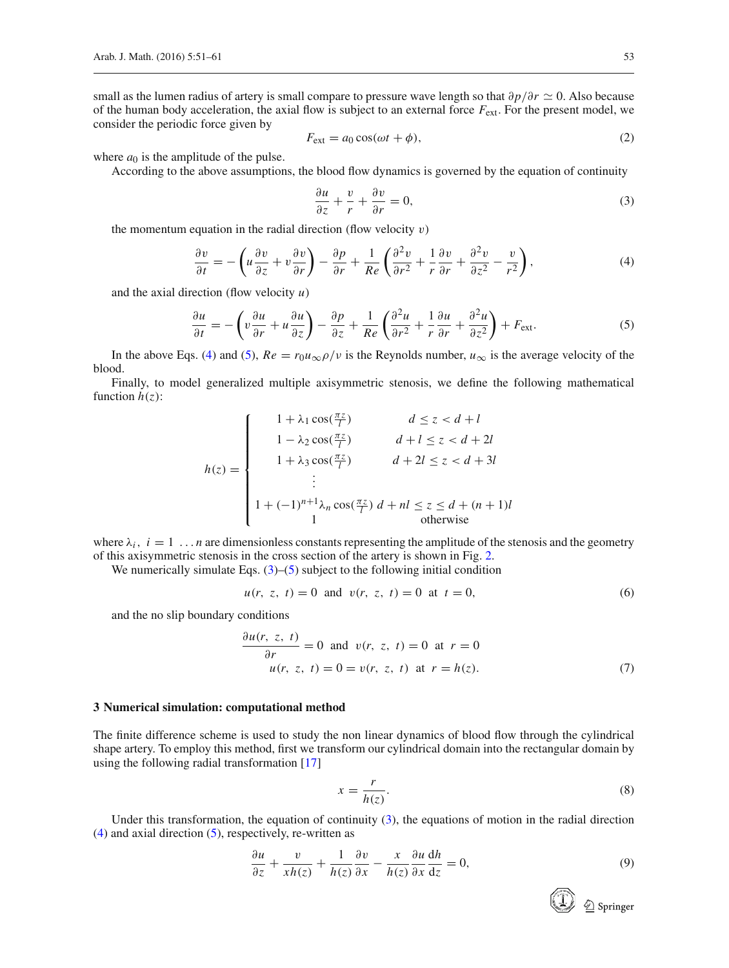small as the lumen radius of artery is small compare to pressure wave length so that  $\partial p/\partial r$  ≃ 0. Also because of the human body acceleration, the axial flow is subject to an external force  $F_{ext}$ . For the present model, we consider the periodic force given by

$$
F_{\text{ext}} = a_0 \cos(\omega t + \phi),\tag{2}
$$

where  $a_0$  is the amplitude of the pulse.

<span id="page-2-8"></span>According to the above assumptions, the blood flow dynamics is governed by the equation of continuity

<span id="page-2-3"></span><span id="page-2-1"></span>
$$
\frac{\partial u}{\partial z} + \frac{v}{r} + \frac{\partial v}{\partial r} = 0,\tag{3}
$$

the momentum equation in the radial direction (flow velocity  $v$ )

$$
\frac{\partial v}{\partial t} = -\left(u\frac{\partial v}{\partial z} + v\frac{\partial v}{\partial r}\right) - \frac{\partial p}{\partial r} + \frac{1}{Re}\left(\frac{\partial^2 v}{\partial r^2} + \frac{1}{r}\frac{\partial v}{\partial r} + \frac{\partial^2 v}{\partial z^2} - \frac{v}{r^2}\right),\tag{4}
$$

and the axial direction (flow velocity *u*)

<span id="page-2-2"></span>
$$
\frac{\partial u}{\partial t} = -\left(v\frac{\partial u}{\partial r} + u\frac{\partial u}{\partial z}\right) - \frac{\partial p}{\partial z} + \frac{1}{Re}\left(\frac{\partial^2 u}{\partial r^2} + \frac{1}{r}\frac{\partial u}{\partial r} + \frac{\partial^2 u}{\partial z^2}\right) + F_{ext}.
$$
(5)

In the above Eqs. [\(4\)](#page-2-1) and [\(5\)](#page-2-2),  $Re = r_0 u_{\infty} \rho / v$  is the Reynolds number,  $u_{\infty}$  is the average velocity of the blood.

Finally, to model generalized multiple axisymmetric stenosis, we define the following mathematical function  $h(z)$ :

$$
h(z) = \begin{cases} 1 + \lambda_1 \cos(\frac{\pi z}{l}) & d \le z < d + l \\ 1 - \lambda_2 \cos(\frac{\pi z}{l}) & d + l \le z < d + 2l \\ 1 + \lambda_3 \cos(\frac{\pi z}{l}) & d + 2l \le z < d + 3l \\ \vdots & \vdots \\ 1 + (-1)^{n+1} \lambda_n \cos(\frac{\pi z}{l}) & d + nl \le z \le d + (n + 1)l \\ 1 & \text{otherwise} \end{cases}
$$

where  $\lambda_i$ ,  $i = 1 \ldots n$  are dimensionless constants representing the amplitude of the stenosis and the geometry of this axisymmetric stenosis in the cross section of the artery is shown in Fig. [2.](#page-3-0)

<span id="page-2-4"></span>We numerically simulate Eqs.  $(3)$ – $(5)$  subject to the following initial condition

$$
u(r, z, t) = 0
$$
 and  $v(r, z, t) = 0$  at  $t = 0$ , (6)

<span id="page-2-5"></span>and the no slip boundary conditions

$$
\frac{\partial u(r, z, t)}{\partial r} = 0 \text{ and } v(r, z, t) = 0 \text{ at } r = 0
$$
  
 
$$
u(r, z, t) = 0 = v(r, z, t) \text{ at } r = h(z).
$$
 (7)

#### <span id="page-2-0"></span>**3 Numerical simulation: computational method**

The finite difference scheme is used to study the non linear dynamics of blood flow through the cylindrical shape artery. To employ this method, first we transform our cylindrical domain into the rectangular domain by using the following radial transformation [\[17](#page-10-16)]

$$
x = \frac{r}{h(z)}.\tag{8}
$$

<span id="page-2-7"></span>Under this transformation, the equation of continuity  $(3)$ , the equations of motion in the radial direction [\(4\)](#page-2-1) and axial direction [\(5\)](#page-2-2), respectively, re-written as

<span id="page-2-6"></span>
$$
\frac{\partial u}{\partial z} + \frac{v}{xh(z)} + \frac{1}{h(z)} \frac{\partial v}{\partial x} - \frac{x}{h(z)} \frac{\partial u}{\partial x} \frac{dh}{dz} = 0,
$$
\n(9)

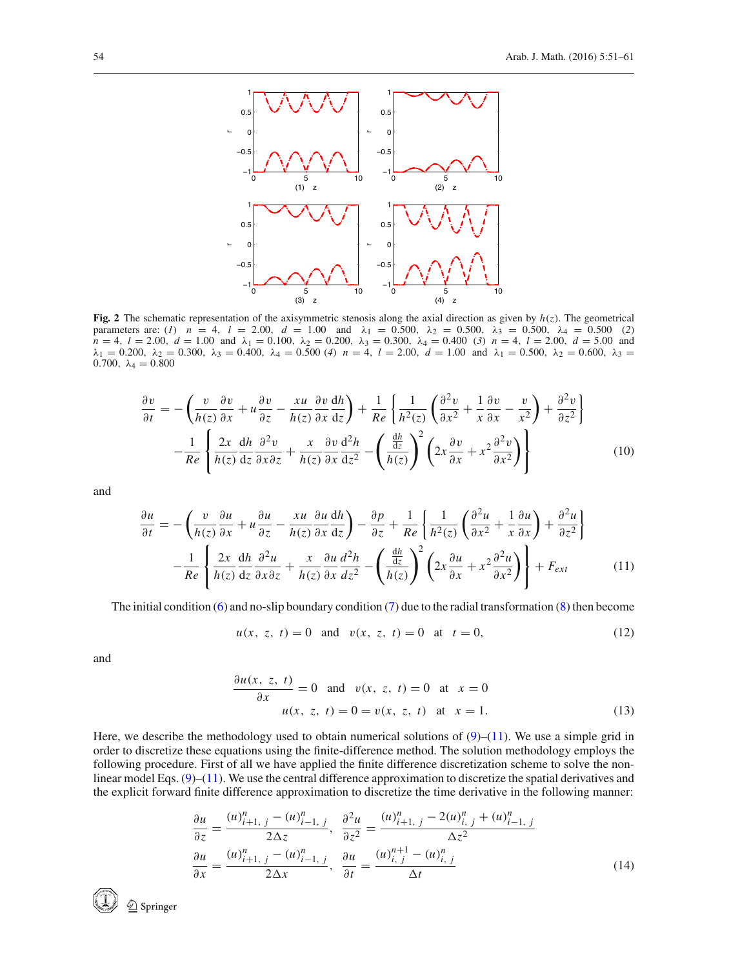

<span id="page-3-0"></span>**Fig. 2** The schematic representation of the axisymmetric stenosis along the axial direction as given by *h*(*z*). The geometrical parameters are: (*1*)  $n = 4$ ,  $l = 2.00$ ,  $d = 1.00$  and  $\lambda_1 = 0.500$ ,  $\lambda_2 = 0.500$ ,  $\lambda_3 = 0.500$ ,  $\lambda_4 = 0.500$  (2) *n* = 4, *l* = 2.00, *d* = 1.00 and  $\lambda_1$  = 0.100,  $\lambda_2$  = 0.200,  $\lambda_3$  = 0.300,  $\lambda_4$  = 0.400 (3) *n* = 4, *l* = 2.00, *d* = 5.00 and  $\lambda_1 = 0.200, \lambda_2 = 0.300, \lambda_3 = 0.400, \lambda_4 = 0.500$  (*4*)  $n = 4, l = 2.00, d = 1.00$  and  $\lambda_1 = 0.500, \lambda_2 = 0.600, \lambda_3 = 0.000$ 0.700,  $\lambda_4 = 0.800$ 

<span id="page-3-4"></span>
$$
\frac{\partial v}{\partial t} = -\left(\frac{v}{h(z)}\frac{\partial v}{\partial x} + u\frac{\partial v}{\partial z} - \frac{xu}{h(z)}\frac{\partial v}{\partial x}\frac{dh}{dz}\right) + \frac{1}{Re}\left\{\frac{1}{h^2(z)}\left(\frac{\partial^2 v}{\partial x^2} + \frac{1}{x}\frac{\partial v}{\partial x} - \frac{v}{x^2}\right) + \frac{\partial^2 v}{\partial z^2}\right\}
$$

$$
-\frac{1}{Re}\left\{\frac{2x}{h(z)}\frac{dh}{dz}\frac{\partial^2 v}{\partial x \partial z} + \frac{x}{h(z)}\frac{\partial v}{\partial x}\frac{d^2 h}{dz^2} - \left(\frac{\frac{dh}{dz}}{h(z)}\right)^2 \left(2x\frac{\partial v}{\partial x} + x^2\frac{\partial^2 v}{\partial x^2}\right)\right\}
$$
(10)

<span id="page-3-1"></span>and

$$
\frac{\partial u}{\partial t} = -\left(\frac{v}{h(z)}\frac{\partial u}{\partial x} + u\frac{\partial u}{\partial z} - \frac{xu}{h(z)}\frac{\partial u}{\partial x}\frac{dh}{dz}\right) - \frac{\partial p}{\partial z} + \frac{1}{Re}\left\{\frac{1}{h^2(z)}\left(\frac{\partial^2 u}{\partial x^2} + \frac{1}{x}\frac{\partial u}{\partial x}\right) + \frac{\partial^2 u}{\partial z^2}\right\}
$$

$$
-\frac{1}{Re}\left\{\frac{2x}{h(z)}\frac{dh}{dz}\frac{\partial^2 u}{\partial x\partial z} + \frac{x}{h(z)}\frac{\partial u}{\partial x}\frac{d^2 h}{dz^2} - \left(\frac{\frac{dh}{dz}}{h(z)}\right)^2 \left(2x\frac{\partial u}{\partial x} + x^2\frac{\partial^2 u}{\partial x^2}\right)\right\} + F_{ext}
$$
(11)

<span id="page-3-2"></span>The initial condition [\(6\)](#page-2-4) and no-slip boundary condition [\(7\)](#page-2-5) due to the radial transformation [\(8\)](#page-2-6) then become

$$
u(x, z, t) = 0
$$
 and  $v(x, z, t) = 0$  at  $t = 0$ , (12)

<span id="page-3-3"></span>and

$$
\frac{\partial u(x, z, t)}{\partial x} = 0 \text{ and } v(x, z, t) = 0 \text{ at } x = 0
$$
  
  $u(x, z, t) = 0 = v(x, z, t) \text{ at } x = 1.$  (13)

Here, we describe the methodology used to obtain numerical solutions of  $(9)–(11)$  $(9)–(11)$  $(9)–(11)$ . We use a simple grid in order to discretize these equations using the finite-difference method. The solution methodology employs the following procedure. First of all we have applied the finite difference discretization scheme to solve the nonlinear model Eqs. [\(9\)](#page-2-7)–[\(11\)](#page-3-1). We use the central difference approximation to discretize the spatial derivatives and the explicit forward finite difference approximation to discretize the time derivative in the following manner:

$$
\frac{\partial u}{\partial z} = \frac{(u)_{i+1, j}^n - (u)_{i-1, j}^n}{2\Delta z}, \quad \frac{\partial^2 u}{\partial z^2} = \frac{(u)_{i+1, j}^n - 2(u)_{i, j}^n + (u)_{i-1, j}^n}{\Delta z^2}
$$

$$
\frac{\partial u}{\partial x} = \frac{(u)_{i+1, j}^n - (u)_{i-1, j}^n}{2\Delta x}, \quad \frac{\partial u}{\partial t} = \frac{(u)_{i, j}^{n+1} - (u)_{i, j}^n}{\Delta t}
$$
(14)

 $\stackrel{\wedge}{\underline{\mathbb{D}}}$  Springer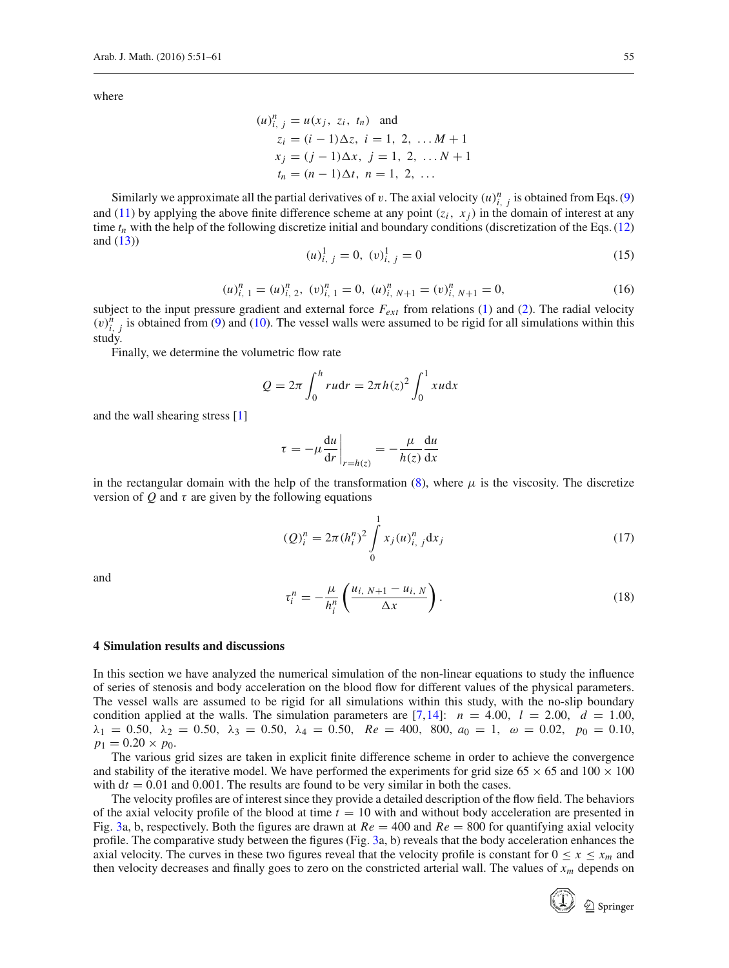where

$$
(u)_{i, j}^{n} = u(x_{j}, z_{i}, t_{n}) \text{ and}
$$
  
\n
$$
z_{i} = (i - 1)\Delta z, i = 1, 2, \dots M + 1
$$
  
\n
$$
x_{j} = (j - 1)\Delta x, j = 1, 2, \dots N + 1
$$
  
\n
$$
t_{n} = (n - 1)\Delta t, n = 1, 2, \dots
$$

Similarly we approximate all the partial derivatives of v. The axial velocity  $(u)_{i,j}^n$  is obtained from Eqs. [\(9\)](#page-2-7) and [\(11\)](#page-3-1) by applying the above finite difference scheme at any point  $(z_i, x_j)$  in the domain of interest at any time  $t_n$  with the help of the following discretize initial and boundary conditions (discretization of the Eqs. [\(12\)](#page-3-2) and  $(13)$ )

$$
(u)_{i, j}^{1} = 0, (v)_{i, j}^{1} = 0
$$
\n
$$
(15)
$$

$$
(u)_{i, 1}^{n} = (u)_{i, 2}^{n}, (v)_{i, 1}^{n} = 0, (u)_{i, N+1}^{n} = (v)_{i, N+1}^{n} = 0,
$$
\n(16)

subject to the input pressure gradient and external force *Fext* from relations [\(1\)](#page-1-2) and [\(2\)](#page-2-8). The radial velocity  $(v)_{i,j}^{n}$  is obtained from [\(9\)](#page-2-7) and [\(10\)](#page-3-4). The vessel walls were assumed to be rigid for all simulations within this study.

Finally, we determine the volumetric flow rate

$$
Q = 2\pi \int_0^h r u dr = 2\pi h(z)^2 \int_0^1 x u dx
$$

and the wall shearing stress [\[1\]](#page-10-0)

$$
\tau = -\mu \frac{du}{dr}\bigg|_{r=h(z)} = -\frac{\mu}{h(z)}\frac{du}{dx}
$$

in the rectangular domain with the help of the transformation  $(8)$ , where  $\mu$  is the viscosity. The discretize version of *Q* and  $\tau$  are given by the following equations

$$
(Q)_i^n = 2\pi (h_i^n)^2 \int_0^1 x_j (u)_{i,j}^n dx_j
$$
\n(17)

and

$$
\tau_i^n = -\frac{\mu}{h_i^n} \left( \frac{u_{i, N+1} - u_{i, N}}{\Delta x} \right). \tag{18}
$$

# <span id="page-4-0"></span>**4 Simulation results and discussions**

In this section we have analyzed the numerical simulation of the non-linear equations to study the influence of series of stenosis and body acceleration on the blood flow for different values of the physical parameters. The vessel walls are assumed to be rigid for all simulations within this study, with the no-slip boundary condition applied at the walls. The simulation parameters are  $[7,14]$  $[7,14]$ :  $n = 4.00$ ,  $l = 2.00$ ,  $d = 1.00$ ,  $\lambda_1 = 0.50, \lambda_2 = 0.50, \lambda_3 = 0.50, \lambda_4 = 0.50, \quad Re = 400, 800, a_0 = 1, \omega = 0.02, \quad p_0 = 0.10,$  $p_1 = 0.20 \times p_0$ .

The various grid sizes are taken in explicit finite difference scheme in order to achieve the convergence and stability of the iterative model. We have performed the experiments for grid size  $65 \times 65$  and  $100 \times 100$ with  $dt = 0.01$  and 0.001. The results are found to be very similar in both the cases.

The velocity profiles are of interest since they provide a detailed description of the flow field. The behaviors of the axial velocity profile of the blood at time *t* = 10 with and without body acceleration are presented in Fig. [3a](#page-5-0), b, respectively. Both the figures are drawn at  $Re = 400$  and  $Re = 800$  for quantifying axial velocity profile. The comparative study between the figures (Fig. [3a](#page-5-0), b) reveals that the body acceleration enhances the axial velocity. The curves in these two figures reveal that the velocity profile is constant for  $0 \le x \le x_m$  and then velocity decreases and finally goes to zero on the constricted arterial wall. The values of *x<sup>m</sup>* depends on

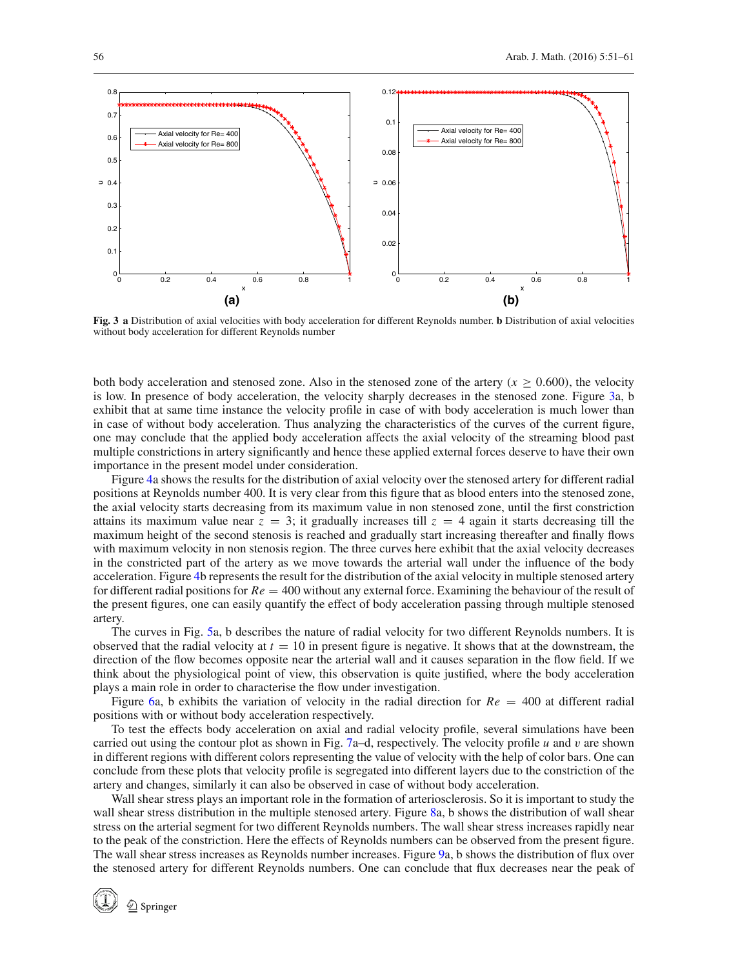

<span id="page-5-0"></span>**Fig. 3 a** Distribution of axial velocities with body acceleration for different Reynolds number. **b** Distribution of axial velocities without body acceleration for different Reynolds number

both body acceleration and stenosed zone. Also in the stenosed zone of the artery  $(x > 0.600)$ , the velocity is low. In presence of body acceleration, the velocity sharply decreases in the stenosed zone. Figure [3a](#page-5-0), b exhibit that at same time instance the velocity profile in case of with body acceleration is much lower than in case of without body acceleration. Thus analyzing the characteristics of the curves of the current figure, one may conclude that the applied body acceleration affects the axial velocity of the streaming blood past multiple constrictions in artery significantly and hence these applied external forces deserve to have their own importance in the present model under consideration.

Figure [4a](#page-6-0) shows the results for the distribution of axial velocity over the stenosed artery for different radial positions at Reynolds number 400. It is very clear from this figure that as blood enters into the stenosed zone, the axial velocity starts decreasing from its maximum value in non stenosed zone, until the first constriction attains its maximum value near  $z = 3$ ; it gradually increases till  $z = 4$  again it starts decreasing till the maximum height of the second stenosis is reached and gradually start increasing thereafter and finally flows with maximum velocity in non stenosis region. The three curves here exhibit that the axial velocity decreases in the constricted part of the artery as we move towards the arterial wall under the influence of the body acceleration. Figure [4b](#page-6-0) represents the result for the distribution of the axial velocity in multiple stenosed artery for different radial positions for *Re* = 400 without any external force. Examining the behaviour of the result of the present figures, one can easily quantify the effect of body acceleration passing through multiple stenosed artery.

The curves in Fig. [5a](#page-6-1), b describes the nature of radial velocity for two different Reynolds numbers. It is observed that the radial velocity at  $t = 10$  in present figure is negative. It shows that at the downstream, the direction of the flow becomes opposite near the arterial wall and it causes separation in the flow field. If we think about the physiological point of view, this observation is quite justified, where the body acceleration plays a main role in order to characterise the flow under investigation.

Figure [6a](#page-6-2), b exhibits the variation of velocity in the radial direction for  $Re = 400$  at different radial positions with or without body acceleration respectively.

To test the effects body acceleration on axial and radial velocity profile, several simulations have been carried out using the contour plot as shown in Fig. [7a](#page-7-0)–d, respectively. The velocity profile *u* and v are shown in different regions with different colors representing the value of velocity with the help of color bars. One can conclude from these plots that velocity profile is segregated into different layers due to the constriction of the artery and changes, similarly it can also be observed in case of without body acceleration.

Wall shear stress plays an important role in the formation of arteriosclerosis. So it is important to study the wall shear stress distribution in the multiple stenosed artery. Figure [8a](#page-8-0), b shows the distribution of wall shear stress on the arterial segment for two different Reynolds numbers. The wall shear stress increases rapidly near to the peak of the constriction. Here the effects of Reynolds numbers can be observed from the present figure. The wall shear stress increases as Reynolds number increases. Figure [9a](#page-8-1), b shows the distribution of flux over the stenosed artery for different Reynolds numbers. One can conclude that flux decreases near the peak of

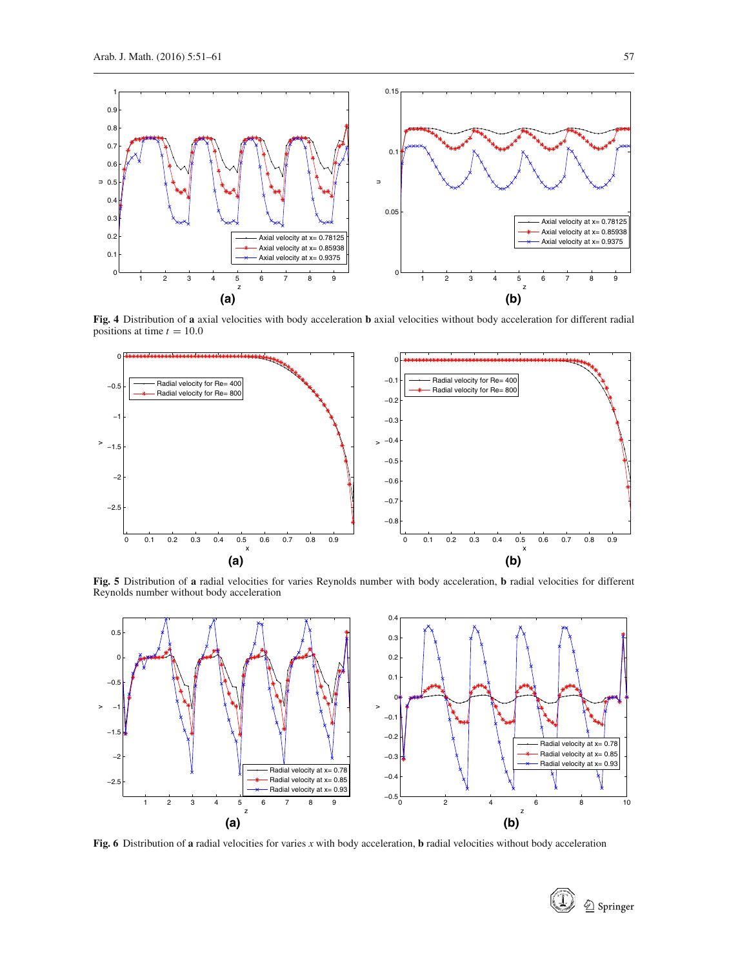

**Fig. 4** Distribution of **a** axial velocities with body acceleration **b** axial velocities without body acceleration for different radial positions at time  $t = 10.0$ 

<span id="page-6-0"></span>

**Fig. 5** Distribution of **a** radial velocities for varies Reynolds number with body acceleration, **b** radial velocities for different Reynolds number without body acceleration

<span id="page-6-1"></span>

<span id="page-6-2"></span>**Fig. 6** Distribution of **a** radial velocities for varies *x* with body acceleration, **b** radial velocities without body acceleration

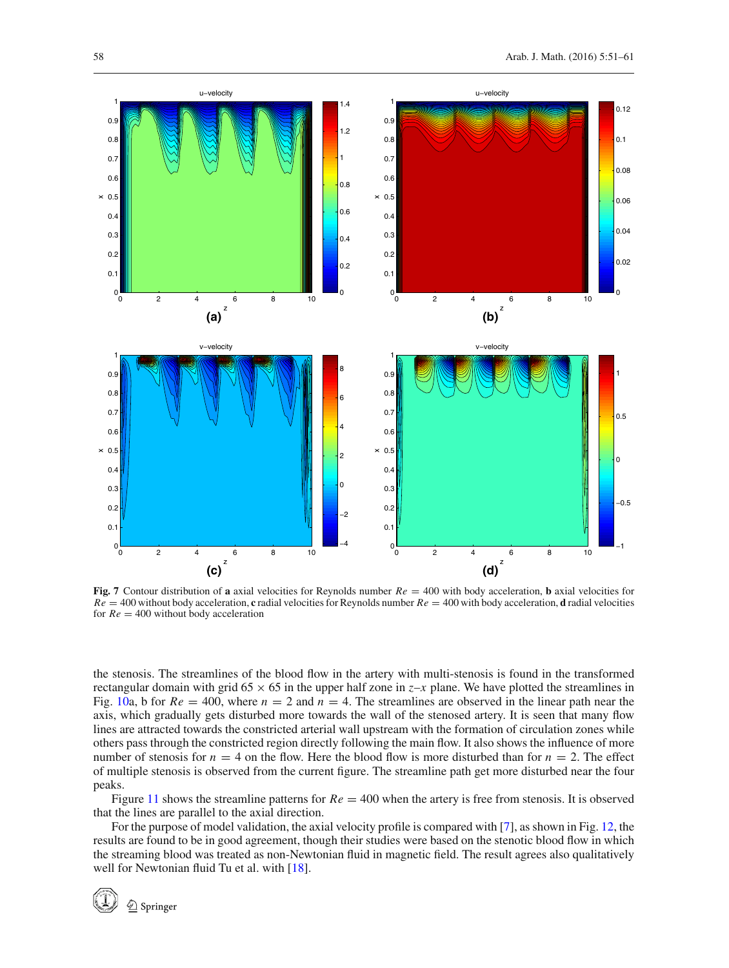

<span id="page-7-0"></span>**Fig. 7** Contour distribution of **a** axial velocities for Reynolds number  $Re = 400$  with body acceleration, **b** axial velocities for  $Re = 400$  without body acceleration, **c** radial velocities for Reynolds number  $Re = 400$  with body acceleration, **d** radial velocities for  $Re = 400$  without body acceleration

the stenosis. The streamlines of the blood flow in the artery with multi-stenosis is found in the transformed rectangular domain with grid 65  $\times$  65 in the upper half zone in *z*–*x* plane. We have plotted the streamlines in Fig. [10a](#page-8-2), b for  $Re = 400$ , where  $n = 2$  and  $n = 4$ . The streamlines are observed in the linear path near the axis, which gradually gets disturbed more towards the wall of the stenosed artery. It is seen that many flow lines are attracted towards the constricted arterial wall upstream with the formation of circulation zones while others pass through the constricted region directly following the main flow. It also shows the influence of more number of stenosis for  $n = 4$  on the flow. Here the blood flow is more disturbed than for  $n = 2$ . The effect of multiple stenosis is observed from the current figure. The streamline path get more disturbed near the four peaks.

Figure [11](#page-9-1) shows the streamline patterns for  $Re = 400$  when the artery is free from stenosis. It is observed that the lines are parallel to the axial direction.

For the purpose of model validation, the axial velocity profile is compared with [\[7\]](#page-10-6), as shown in Fig. [12,](#page-9-2) the results are found to be in good agreement, though their studies were based on the stenotic blood flow in which the streaming blood was treated as non-Newtonian fluid in magnetic field. The result agrees also qualitatively well for Newtonian fluid Tu et al. with [\[18\]](#page-10-17).

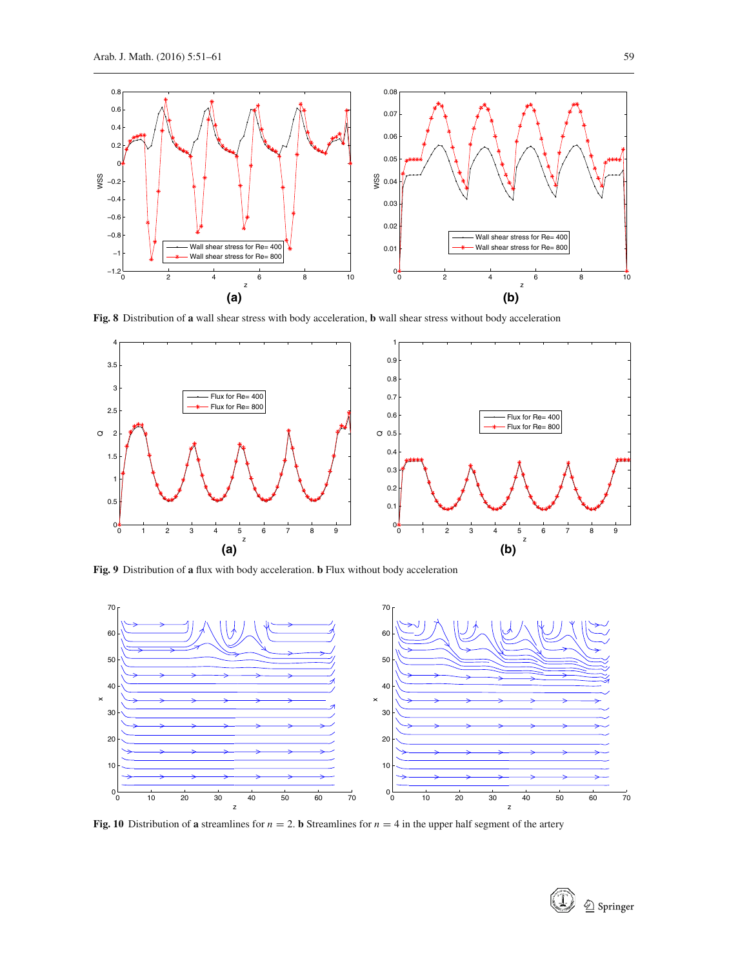

**Fig. 8** Distribution of **a** wall shear stress with body acceleration, **b** wall shear stress without body acceleration

<span id="page-8-0"></span>

**Fig. 9** Distribution of **a** flux with body acceleration. **b** Flux without body acceleration

<span id="page-8-1"></span>

<span id="page-8-2"></span>**Fig. 10** Distribution of **a** streamlines for  $n = 2$ . **b** Streamlines for  $n = 4$  in the upper half segment of the artery



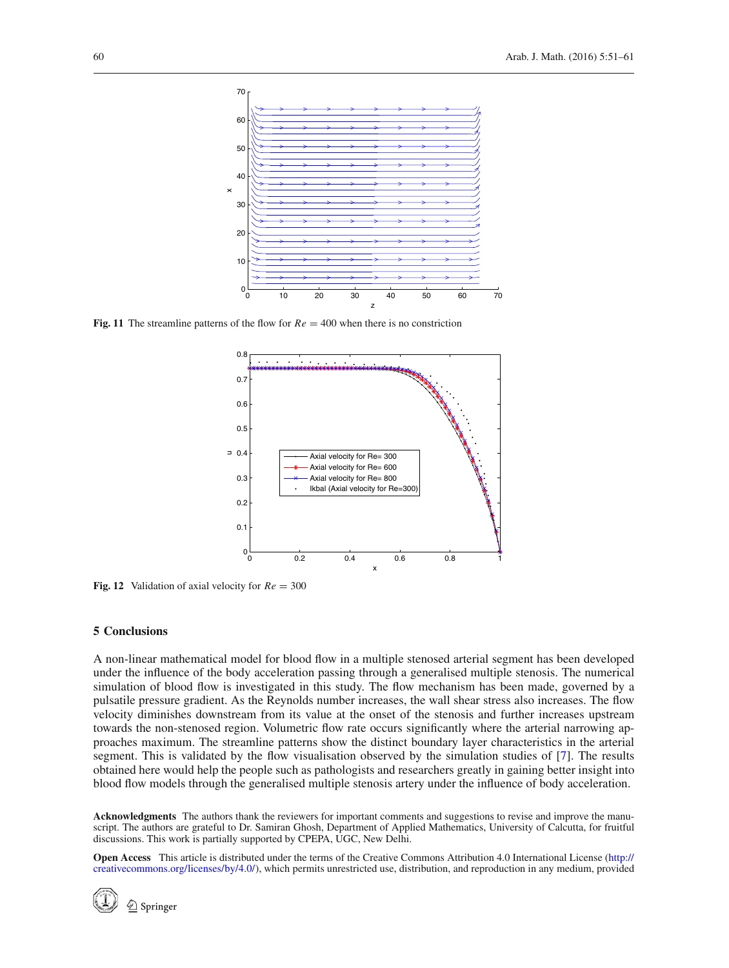

<span id="page-9-1"></span>**Fig. 11** The streamline patterns of the flow for  $Re = 400$  when there is no constriction



<span id="page-9-2"></span>**Fig. 12** Validation of axial velocity for *Re* = 300

# <span id="page-9-0"></span>**5 Conclusions**

A non-linear mathematical model for blood flow in a multiple stenosed arterial segment has been developed under the influence of the body acceleration passing through a generalised multiple stenosis. The numerical simulation of blood flow is investigated in this study. The flow mechanism has been made, governed by a pulsatile pressure gradient. As the Reynolds number increases, the wall shear stress also increases. The flow velocity diminishes downstream from its value at the onset of the stenosis and further increases upstream towards the non-stenosed region. Volumetric flow rate occurs significantly where the arterial narrowing approaches maximum. The streamline patterns show the distinct boundary layer characteristics in the arterial segment. This is validated by the flow visualisation observed by the simulation studies of [\[7](#page-10-6)]. The results obtained here would help the people such as pathologists and researchers greatly in gaining better insight into blood flow models through the generalised multiple stenosis artery under the influence of body acceleration.

**Acknowledgments** The authors thank the reviewers for important comments and suggestions to revise and improve the manuscript. The authors are grateful to Dr. Samiran Ghosh, Department of Applied Mathematics, University of Calcutta, for fruitful discussions. This work is partially supported by CPEPA, UGC, New Delhi.

**Open Access** This article is distributed under the terms of the Creative Commons Attribution 4.0 International License [\(http://](http://creativecommons.org/licenses/by/4.0/) [creativecommons.org/licenses/by/4.0/\)](http://creativecommons.org/licenses/by/4.0/), which permits unrestricted use, distribution, and reproduction in any medium, provided



 $\textcircled{2}$  Springer